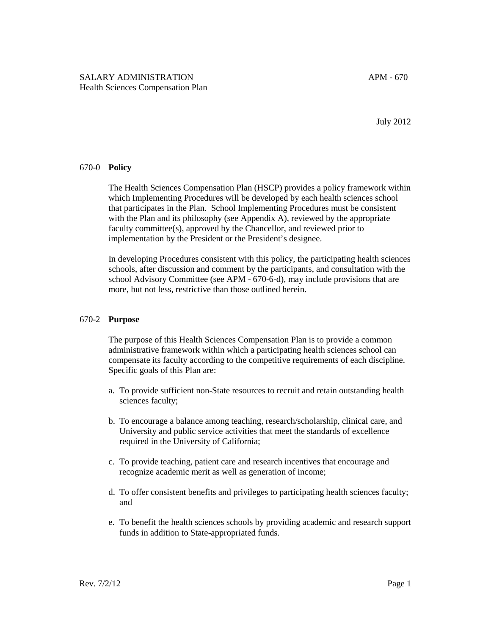July 2012

## 670-0 **Policy**

The Health Sciences Compensation Plan (HSCP) provides a policy framework within which Implementing Procedures will be developed by each health sciences school that participates in the Plan. School Implementing Procedures must be consistent with the Plan and its philosophy (see Appendix A), reviewed by the appropriate faculty committee(s), approved by the Chancellor, and reviewed prior to implementation by the President or the President's designee.

In developing Procedures consistent with this policy, the participating health sciences schools, after discussion and comment by the participants, and consultation with the school Advisory Committee (see APM - 670-6-d), may include provisions that are more, but not less, restrictive than those outlined herein.

## 670-2 **Purpose**

The purpose of this Health Sciences Compensation Plan is to provide a common administrative framework within which a participating health sciences school can compensate its faculty according to the competitive requirements of each discipline. Specific goals of this Plan are:

- a. To provide sufficient non-State resources to recruit and retain outstanding health sciences faculty;
- b. To encourage a balance among teaching, research/scholarship, clinical care, and University and public service activities that meet the standards of excellence required in the University of California;
- c. To provide teaching, patient care and research incentives that encourage and recognize academic merit as well as generation of income;
- d. To offer consistent benefits and privileges to participating health sciences faculty; and
- e. To benefit the health sciences schools by providing academic and research support funds in addition to State-appropriated funds.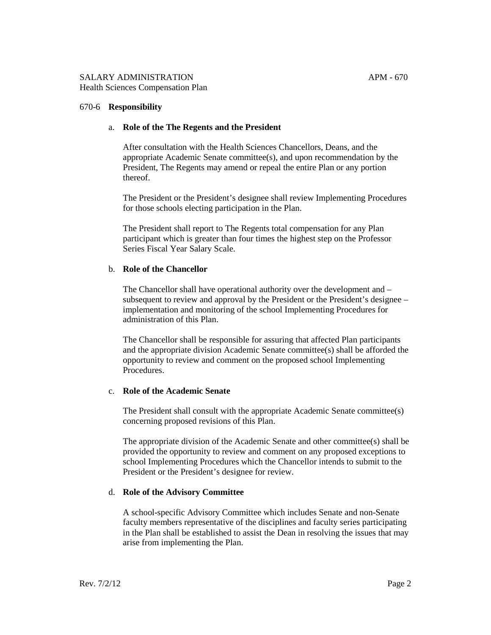#### 670-6 **Responsibility**

#### a. **Role of the The Regents and the President**

After consultation with the Health Sciences Chancellors, Deans, and the appropriate Academic Senate committee(s), and upon recommendation by the President, The Regents may amend or repeal the entire Plan or any portion thereof.

The President or the President's designee shall review Implementing Procedures for those schools electing participation in the Plan.

The President shall report to The Regents total compensation for any Plan participant which is greater than four times the highest step on the Professor Series Fiscal Year Salary Scale.

#### b. **Role of the Chancellor**

The Chancellor shall have operational authority over the development and – subsequent to review and approval by the President or the President's designee – implementation and monitoring of the school Implementing Procedures for administration of this Plan.

The Chancellor shall be responsible for assuring that affected Plan participants and the appropriate division Academic Senate committee(s) shall be afforded the opportunity to review and comment on the proposed school Implementing Procedures.

#### c. **Role of the Academic Senate**

The President shall consult with the appropriate Academic Senate committee(s) concerning proposed revisions of this Plan.

The appropriate division of the Academic Senate and other committee(s) shall be provided the opportunity to review and comment on any proposed exceptions to school Implementing Procedures which the Chancellor intends to submit to the President or the President's designee for review.

#### d. **Role of the Advisory Committee**

A school-specific Advisory Committee which includes Senate and non-Senate faculty members representative of the disciplines and faculty series participating in the Plan shall be established to assist the Dean in resolving the issues that may arise from implementing the Plan.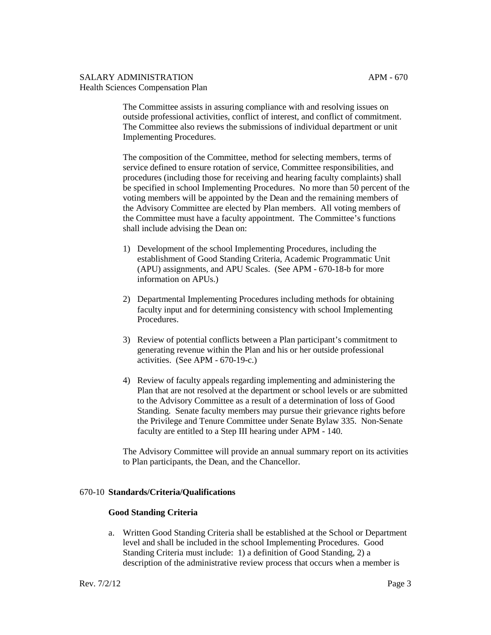The Committee assists in assuring compliance with and resolving issues on outside professional activities, conflict of interest, and conflict of commitment. The Committee also reviews the submissions of individual department or unit Implementing Procedures.

The composition of the Committee, method for selecting members, terms of service defined to ensure rotation of service, Committee responsibilities, and procedures (including those for receiving and hearing faculty complaints) shall be specified in school Implementing Procedures. No more than 50 percent of the voting members will be appointed by the Dean and the remaining members of the Advisory Committee are elected by Plan members. All voting members of the Committee must have a faculty appointment. The Committee's functions shall include advising the Dean on:

- 1) Development of the school Implementing Procedures, including the establishment of Good Standing Criteria, Academic Programmatic Unit (APU) assignments, and APU Scales. (See APM - 670-18-b for more information on APUs.)
- 2) Departmental Implementing Procedures including methods for obtaining faculty input and for determining consistency with school Implementing **Procedures**
- 3) Review of potential conflicts between a Plan participant's commitment to generating revenue within the Plan and his or her outside professional activities. (See APM - 670-19-c.)
- 4) Review of faculty appeals regarding implementing and administering the Plan that are not resolved at the department or school levels or are submitted to the Advisory Committee as a result of a determination of loss of Good Standing. Senate faculty members may pursue their grievance rights before the Privilege and Tenure Committee under Senate Bylaw 335. Non-Senate faculty are entitled to a Step III hearing under APM - 140.

The Advisory Committee will provide an annual summary report on its activities to Plan participants, the Dean, and the Chancellor.

## 670-10 **Standards/Criteria/Qualifications**

#### **Good Standing Criteria**

a. Written Good Standing Criteria shall be established at the School or Department level and shall be included in the school Implementing Procedures. Good Standing Criteria must include: 1) a definition of Good Standing, 2) a description of the administrative review process that occurs when a member is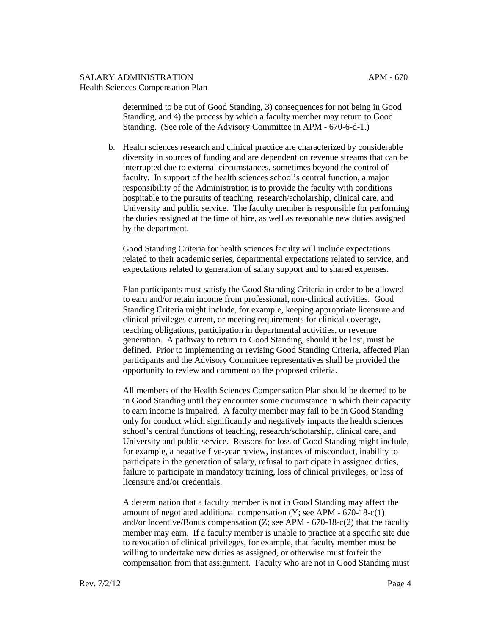determined to be out of Good Standing, 3) consequences for not being in Good Standing, and 4) the process by which a faculty member may return to Good Standing. (See role of the Advisory Committee in APM - 670-6-d-1.)

b. Health sciences research and clinical practice are characterized by considerable diversity in sources of funding and are dependent on revenue streams that can be interrupted due to external circumstances, sometimes beyond the control of faculty. In support of the health sciences school's central function, a major responsibility of the Administration is to provide the faculty with conditions hospitable to the pursuits of teaching, research/scholarship, clinical care, and University and public service. The faculty member is responsible for performing the duties assigned at the time of hire, as well as reasonable new duties assigned by the department.

Good Standing Criteria for health sciences faculty will include expectations related to their academic series, departmental expectations related to service, and expectations related to generation of salary support and to shared expenses.

Plan participants must satisfy the Good Standing Criteria in order to be allowed to earn and/or retain income from professional, non-clinical activities. Good Standing Criteria might include, for example, keeping appropriate licensure and clinical privileges current, or meeting requirements for clinical coverage, teaching obligations, participation in departmental activities, or revenue generation. A pathway to return to Good Standing, should it be lost, must be defined. Prior to implementing or revising Good Standing Criteria, affected Plan participants and the Advisory Committee representatives shall be provided the opportunity to review and comment on the proposed criteria.

All members of the Health Sciences Compensation Plan should be deemed to be in Good Standing until they encounter some circumstance in which their capacity to earn income is impaired. A faculty member may fail to be in Good Standing only for conduct which significantly and negatively impacts the health sciences school's central functions of teaching, research/scholarship, clinical care, and University and public service. Reasons for loss of Good Standing might include, for example, a negative five-year review, instances of misconduct, inability to participate in the generation of salary, refusal to participate in assigned duties, failure to participate in mandatory training, loss of clinical privileges, or loss of licensure and/or credentials.

A determination that a faculty member is not in Good Standing may affect the amount of negotiated additional compensation  $(Y; \text{see APM - } 670-18-c(1))$ and/or Incentive/Bonus compensation (Z; see APM - 670-18-c(2) that the faculty member may earn. If a faculty member is unable to practice at a specific site due to revocation of clinical privileges, for example, that faculty member must be willing to undertake new duties as assigned, or otherwise must forfeit the compensation from that assignment. Faculty who are not in Good Standing must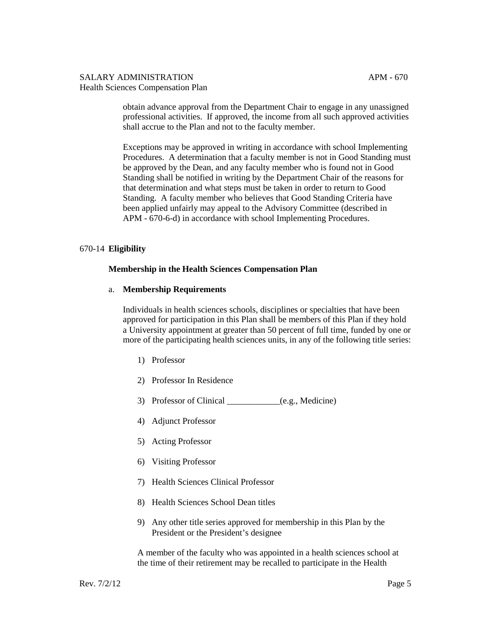obtain advance approval from the Department Chair to engage in any unassigned professional activities. If approved, the income from all such approved activities shall accrue to the Plan and not to the faculty member.

Exceptions may be approved in writing in accordance with school Implementing Procedures. A determination that a faculty member is not in Good Standing must be approved by the Dean, and any faculty member who is found not in Good Standing shall be notified in writing by the Department Chair of the reasons for that determination and what steps must be taken in order to return to Good Standing. A faculty member who believes that Good Standing Criteria have been applied unfairly may appeal to the Advisory Committee (described in APM - 670-6-d) in accordance with school Implementing Procedures.

## 670-14 **Eligibility**

## **Membership in the Health Sciences Compensation Plan**

#### a. **Membership Requirements**

Individuals in health sciences schools, disciplines or specialties that have been approved for participation in this Plan shall be members of this Plan if they hold a University appointment at greater than 50 percent of full time, funded by one or more of the participating health sciences units, in any of the following title series:

- 1) Professor
- 2) Professor In Residence
- 3) Professor of Clinical \_\_\_\_\_\_\_\_\_\_\_\_(e.g., Medicine)
- 4) Adjunct Professor
- 5) Acting Professor
- 6) Visiting Professor
- 7) Health Sciences Clinical Professor
- 8) Health Sciences School Dean titles
- 9) Any other title series approved for membership in this Plan by the President or the President's designee

A member of the faculty who was appointed in a health sciences school at the time of their retirement may be recalled to participate in the Health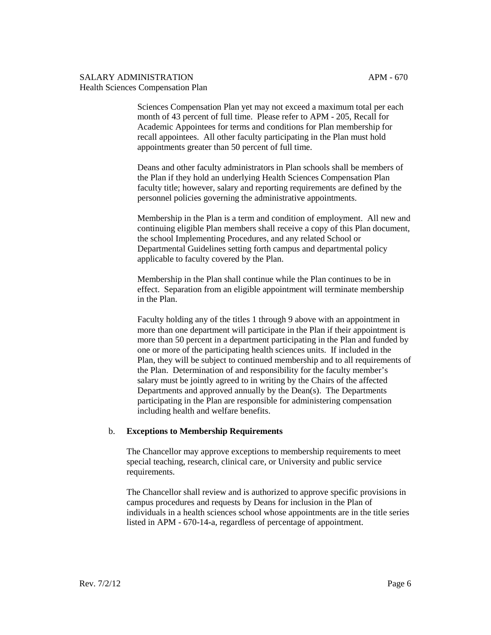Sciences Compensation Plan yet may not exceed a maximum total per each month of 43 percent of full time. Please refer to APM - 205, Recall for Academic Appointees for terms and conditions for Plan membership for recall appointees. All other faculty participating in the Plan must hold appointments greater than 50 percent of full time.

Deans and other faculty administrators in Plan schools shall be members of the Plan if they hold an underlying Health Sciences Compensation Plan faculty title; however, salary and reporting requirements are defined by the personnel policies governing the administrative appointments.

Membership in the Plan is a term and condition of employment. All new and continuing eligible Plan members shall receive a copy of this Plan document, the school Implementing Procedures, and any related School or Departmental Guidelines setting forth campus and departmental policy applicable to faculty covered by the Plan.

Membership in the Plan shall continue while the Plan continues to be in effect. Separation from an eligible appointment will terminate membership in the Plan.

Faculty holding any of the titles 1 through 9 above with an appointment in more than one department will participate in the Plan if their appointment is more than 50 percent in a department participating in the Plan and funded by one or more of the participating health sciences units. If included in the Plan, they will be subject to continued membership and to all requirements of the Plan. Determination of and responsibility for the faculty member's salary must be jointly agreed to in writing by the Chairs of the affected Departments and approved annually by the Dean(s). The Departments participating in the Plan are responsible for administering compensation including health and welfare benefits.

#### b. **Exceptions to Membership Requirements**

The Chancellor may approve exceptions to membership requirements to meet special teaching, research, clinical care, or University and public service requirements.

The Chancellor shall review and is authorized to approve specific provisions in campus procedures and requests by Deans for inclusion in the Plan of individuals in a health sciences school whose appointments are in the title series listed in APM - 670-14-a, regardless of percentage of appointment.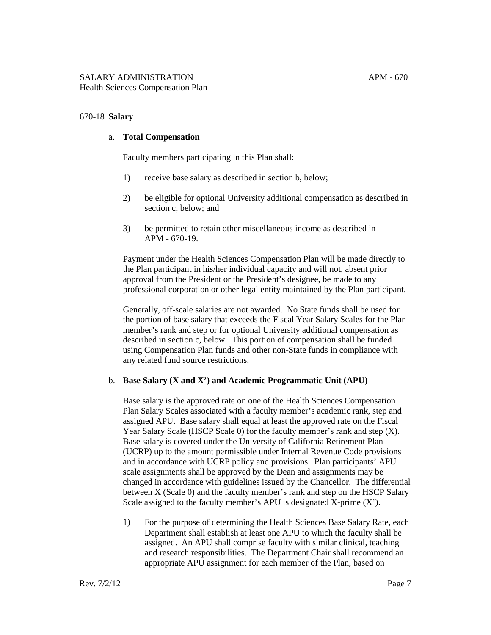#### 670-18 **Salary**

#### a. **Total Compensation**

Faculty members participating in this Plan shall:

- 1) receive base salary as described in section b, below;
- 2) be eligible for optional University additional compensation as described in section c, below; and
- 3) be permitted to retain other miscellaneous income as described in APM - 670-19.

Payment under the Health Sciences Compensation Plan will be made directly to the Plan participant in his/her individual capacity and will not, absent prior approval from the President or the President's designee, be made to any professional corporation or other legal entity maintained by the Plan participant.

Generally, off-scale salaries are not awarded. No State funds shall be used for the portion of base salary that exceeds the Fiscal Year Salary Scales for the Plan member's rank and step or for optional University additional compensation as described in section c, below. This portion of compensation shall be funded using Compensation Plan funds and other non-State funds in compliance with any related fund source restrictions.

#### b. **Base Salary (X and X') and Academic Programmatic Unit (APU)**

Base salary is the approved rate on one of the Health Sciences Compensation Plan Salary Scales associated with a faculty member's academic rank, step and assigned APU. Base salary shall equal at least the approved rate on the Fiscal Year Salary Scale (HSCP Scale 0) for the faculty member's rank and step (X). Base salary is covered under the University of California Retirement Plan (UCRP) up to the amount permissible under Internal Revenue Code provisions and in accordance with UCRP policy and provisions. Plan participants' APU scale assignments shall be approved by the Dean and assignments may be changed in accordance with guidelines issued by the Chancellor. The differential between X (Scale 0) and the faculty member's rank and step on the HSCP Salary Scale assigned to the faculty member's APU is designated  $X$ -prime  $(X')$ .

1) For the purpose of determining the Health Sciences Base Salary Rate, each Department shall establish at least one APU to which the faculty shall be assigned. An APU shall comprise faculty with similar clinical, teaching and research responsibilities. The Department Chair shall recommend an appropriate APU assignment for each member of the Plan, based on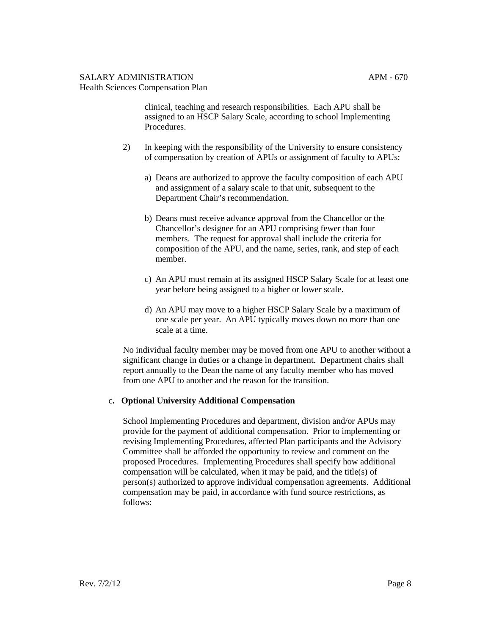clinical, teaching and research responsibilities. Each APU shall be assigned to an HSCP Salary Scale, according to school Implementing Procedures.

- 2) In keeping with the responsibility of the University to ensure consistency of compensation by creation of APUs or assignment of faculty to APUs:
	- a) Deans are authorized to approve the faculty composition of each APU and assignment of a salary scale to that unit, subsequent to the Department Chair's recommendation.
	- b) Deans must receive advance approval from the Chancellor or the Chancellor's designee for an APU comprising fewer than four members. The request for approval shall include the criteria for composition of the APU, and the name, series, rank, and step of each member.
	- c) An APU must remain at its assigned HSCP Salary Scale for at least one year before being assigned to a higher or lower scale.
	- d) An APU may move to a higher HSCP Salary Scale by a maximum of one scale per year. An APU typically moves down no more than one scale at a time.

No individual faculty member may be moved from one APU to another without a significant change in duties or a change in department. Department chairs shall report annually to the Dean the name of any faculty member who has moved from one APU to another and the reason for the transition.

## c**. Optional University Additional Compensation**

School Implementing Procedures and department, division and/or APUs may provide for the payment of additional compensation. Prior to implementing or revising Implementing Procedures, affected Plan participants and the Advisory Committee shall be afforded the opportunity to review and comment on the proposed Procedures. Implementing Procedures shall specify how additional compensation will be calculated, when it may be paid, and the title(s) of person(s) authorized to approve individual compensation agreements. Additional compensation may be paid, in accordance with fund source restrictions, as follows: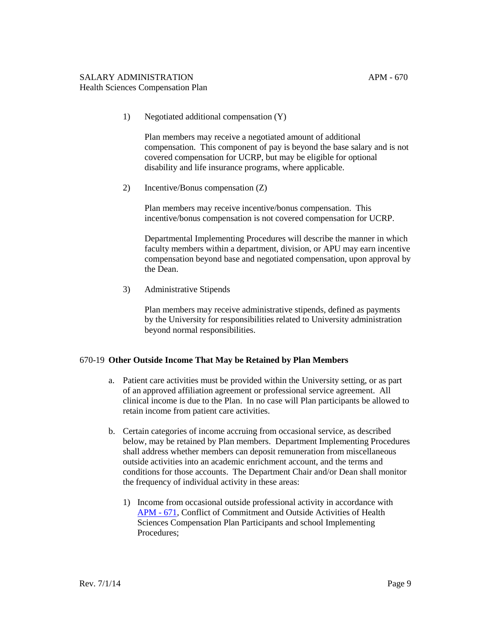1) Negotiated additional compensation (Y)

Plan members may receive a negotiated amount of additional compensation. This component of pay is beyond the base salary and is not covered compensation for UCRP, but may be eligible for optional disability and life insurance programs, where applicable.

2) Incentive/Bonus compensation (Z)

Plan members may receive incentive/bonus compensation. This incentive/bonus compensation is not covered compensation for UCRP.

Departmental Implementing Procedures will describe the manner in which faculty members within a department, division, or APU may earn incentive compensation beyond base and negotiated compensation, upon approval by the Dean.

3) Administrative Stipends

Plan members may receive administrative stipends, defined as payments by the University for responsibilities related to University administration beyond normal responsibilities.

## 670-19 **Other Outside Income That May be Retained by Plan Members**

- a. Patient care activities must be provided within the University setting, or as part of an approved affiliation agreement or professional service agreement. All clinical income is due to the Plan. In no case will Plan participants be allowed to retain income from patient care activities.
- b. Certain categories of income accruing from occasional service, as described below, may be retained by Plan members. Department Implementing Procedures shall address whether members can deposit remuneration from miscellaneous outside activities into an academic enrichment account, and the terms and conditions for those accounts. The Department Chair and/or Dean shall monitor the frequency of individual activity in these areas:
	- 1) Income from occasional outside professional activity in accordance with [APM -](http://www.ucop.edu/academic-personnel-programs/_files/apm/apm-671.pdf) 671, Conflict of Commitment and Outside Activities of Health Sciences Compensation Plan Participants and school Implementing Procedures;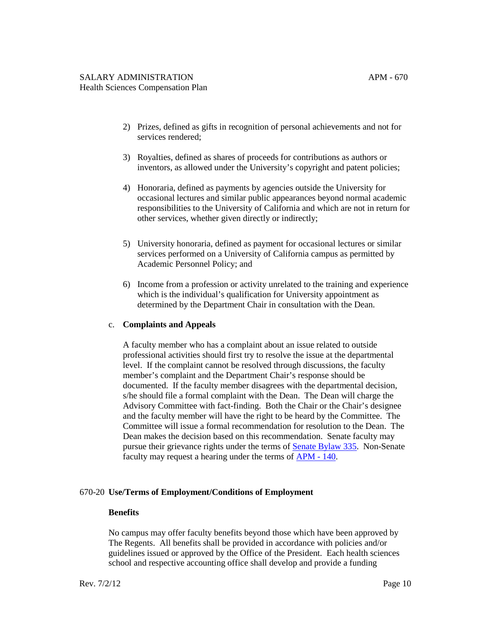- 2) Prizes, defined as gifts in recognition of personal achievements and not for services rendered;
- 3) Royalties, defined as shares of proceeds for contributions as authors or inventors, as allowed under the University's copyright and patent policies;
- 4) Honoraria, defined as payments by agencies outside the University for occasional lectures and similar public appearances beyond normal academic responsibilities to the University of California and which are not in return for other services, whether given directly or indirectly;
- 5) University honoraria, defined as payment for occasional lectures or similar services performed on a University of California campus as permitted by Academic Personnel Policy; and
- 6) Income from a profession or activity unrelated to the training and experience which is the individual's qualification for University appointment as determined by the Department Chair in consultation with the Dean.

## c. **Complaints and Appeals**

A faculty member who has a complaint about an issue related to outside professional activities should first try to resolve the issue at the departmental level. If the complaint cannot be resolved through discussions, the faculty member's complaint and the Department Chair's response should be documented. If the faculty member disagrees with the departmental decision, s/he should file a formal complaint with the Dean. The Dean will charge the Advisory Committee with fact-finding. Both the Chair or the Chair's designee and the faculty member will have the right to be heard by the Committee. The Committee will issue a formal recommendation for resolution to the Dean. The Dean makes the decision based on this recommendation. Senate faculty may pursue their grievance rights under the terms o[f Senate Bylaw 335.](http://senate.universityofcalifornia.edu/manual/bltoc.html) Non-Senate faculty may request a hearing under the terms of [APM -](http://www.ucop.edu/academic-personnel-programs/_files/apm/apm-140.pdf) 140.

## 670-20 **Use/Terms of Employment/Conditions of Employment**

#### **Benefits**

No campus may offer faculty benefits beyond those which have been approved by The Regents. All benefits shall be provided in accordance with policies and/or guidelines issued or approved by the Office of the President. Each health sciences school and respective accounting office shall develop and provide a funding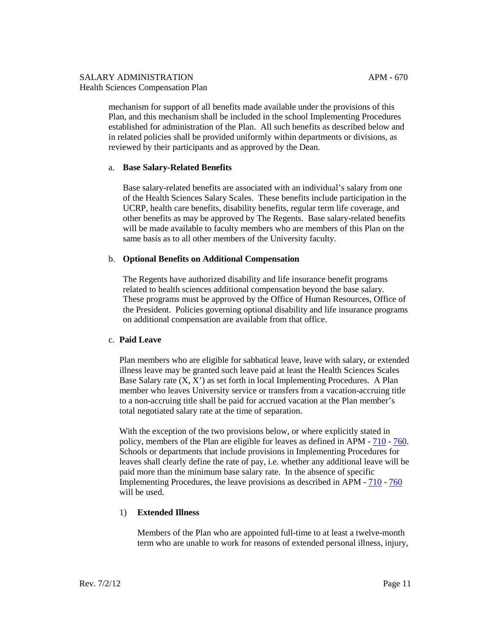mechanism for support of all benefits made available under the provisions of this Plan, and this mechanism shall be included in the school Implementing Procedures established for administration of the Plan. All such benefits as described below and in related policies shall be provided uniformly within departments or divisions, as reviewed by their participants and as approved by the Dean.

## a. **Base Salary-Related Benefits**

Base salary-related benefits are associated with an individual's salary from one of the Health Sciences Salary Scales. These benefits include participation in the UCRP, health care benefits, disability benefits, regular term life coverage, and other benefits as may be approved by The Regents. Base salary-related benefits will be made available to faculty members who are members of this Plan on the same basis as to all other members of the University faculty.

## b. **Optional Benefits on Additional Compensation**

The Regents have authorized disability and life insurance benefit programs related to health sciences additional compensation beyond the base salary. These programs must be approved by the Office of Human Resources, Office of the President. Policies governing optional disability and life insurance programs on additional compensation are available from that office.

## c. **Paid Leave**

Plan members who are eligible for sabbatical leave, leave with salary, or extended illness leave may be granted such leave paid at least the Health Sciences Scales Base Salary rate (X, X') as set forth in local Implementing Procedures. A Plan member who leaves University service or transfers from a vacation-accruing title to a non-accruing title shall be paid for accrued vacation at the Plan member's total negotiated salary rate at the time of separation.

With the exception of the two provisions below, or where explicitly stated in policy, members of the Plan are eligible for leaves as defined in APM - [710](http://www.ucop.edu/academic-personnel-programs/_files/apm/apm-710.pdf) - [760.](http://www.ucop.edu/academic-personnel-programs/_files/apm/apm-760.pdf) Schools or departments that include provisions in Implementing Procedures for leaves shall clearly define the rate of pay, i.e. whether any additional leave will be paid more than the minimum base salary rate. In the absence of specific Implementing Procedures, the leave provisions as described in APM - [710](http://www.ucop.edu/academic-personnel-programs/_files/apm/apm-710.pdf) - [760](http://www.ucop.edu/academic-personnel-programs/_files/apm/apm-760.pdf) will be used.

## 1) **Extended Illness**

Members of the Plan who are appointed full-time to at least a twelve-month term who are unable to work for reasons of extended personal illness, injury,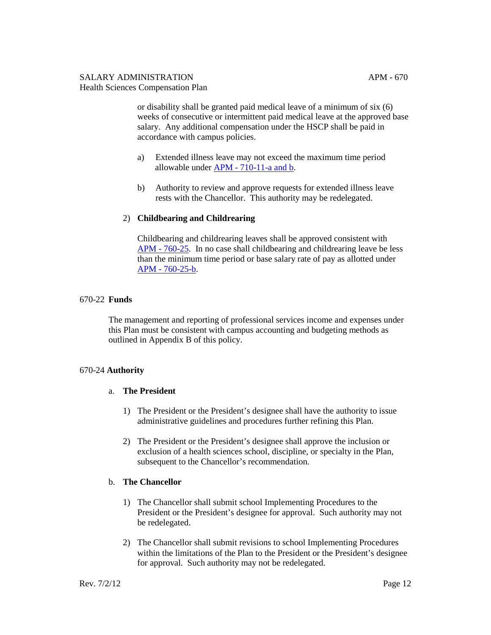or disability shall be granted paid medical leave of a minimum of six (6) weeks of consecutive or intermittent paid medical leave at the approved base salary. Any additional compensation under the HSCP shall be paid in accordance with campus policies.

- a) Extended illness leave may not exceed the maximum time period allowable under APM - [710-11-a and b.](http://www.ucop.edu/academic-personnel-programs/_files/apm/apm-710.pdf)
- b) Authority to review and approve requests for extended illness leave rests with the Chancellor. This authority may be redelegated.

## 2) **Childbearing and Childrearing**

Childbearing and childrearing leaves shall be approved consistent with APM - [760-25.](http://www.ucop.edu/academic-personnel-programs/_files/apm/apm-760.pdf) In no case shall childbearing and childrearing leave be less than the minimum time period or base salary rate of pay as allotted under APM - [760-25-b.](http://www.ucop.edu/academic-personnel-programs/_files/apm/apm-760.pdf)

## 670-22 **Funds**

The management and reporting of professional services income and expenses under this Plan must be consistent with campus accounting and budgeting methods as outlined in Appendix B of this policy.

## 670-24 **Authority**

## a. **The President**

- 1) The President or the President's designee shall have the authority to issue administrative guidelines and procedures further refining this Plan.
- 2) The President or the President's designee shall approve the inclusion or exclusion of a health sciences school, discipline, or specialty in the Plan, subsequent to the Chancellor's recommendation.

## b. **The Chancellor**

- 1) The Chancellor shall submit school Implementing Procedures to the President or the President's designee for approval. Such authority may not be redelegated.
- 2) The Chancellor shall submit revisions to school Implementing Procedures within the limitations of the Plan to the President or the President's designee for approval. Such authority may not be redelegated.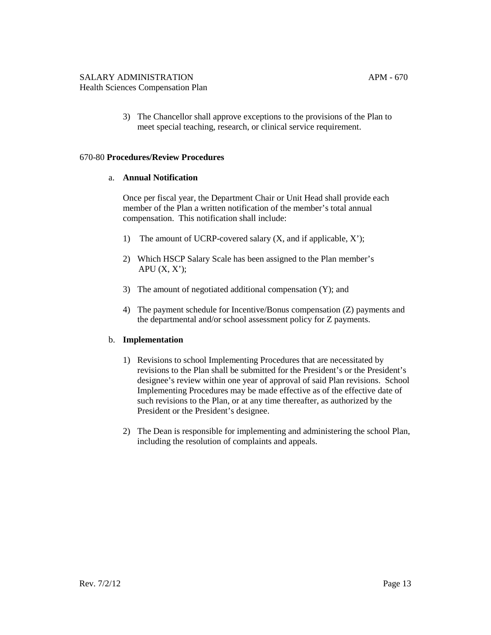3) The Chancellor shall approve exceptions to the provisions of the Plan to meet special teaching, research, or clinical service requirement.

#### 670-80 **Procedures/Review Procedures**

## a. **Annual Notification**

Once per fiscal year, the Department Chair or Unit Head shall provide each member of the Plan a written notification of the member's total annual compensation. This notification shall include:

- 1) The amount of UCRP-covered salary (X, and if applicable, X');
- 2) Which HSCP Salary Scale has been assigned to the Plan member's APU  $(X, X')$ ;
- 3) The amount of negotiated additional compensation (Y); and
- 4) The payment schedule for Incentive/Bonus compensation (Z) payments and the departmental and/or school assessment policy for Z payments.

## b. **Implementation**

- 1) Revisions to school Implementing Procedures that are necessitated by revisions to the Plan shall be submitted for the President's or the President's designee's review within one year of approval of said Plan revisions. School Implementing Procedures may be made effective as of the effective date of such revisions to the Plan, or at any time thereafter, as authorized by the President or the President's designee.
- 2) The Dean is responsible for implementing and administering the school Plan, including the resolution of complaints and appeals.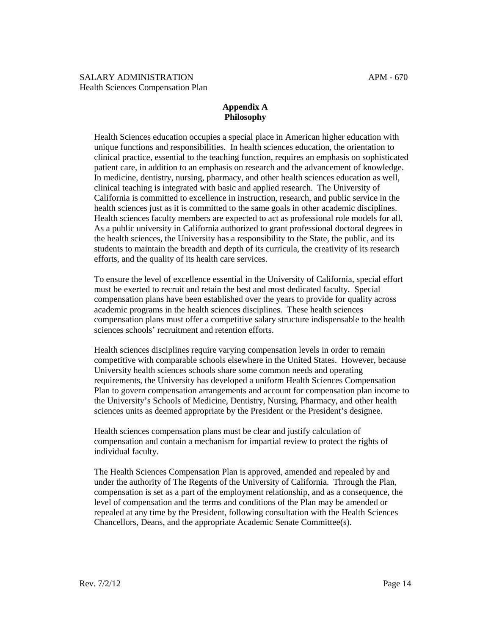## **Appendix A Philosophy**

Health Sciences education occupies a special place in American higher education with unique functions and responsibilities. In health sciences education, the orientation to clinical practice, essential to the teaching function, requires an emphasis on sophisticated patient care, in addition to an emphasis on research and the advancement of knowledge. In medicine, dentistry, nursing, pharmacy, and other health sciences education as well, clinical teaching is integrated with basic and applied research. The University of California is committed to excellence in instruction, research, and public service in the health sciences just as it is committed to the same goals in other academic disciplines. Health sciences faculty members are expected to act as professional role models for all. As a public university in California authorized to grant professional doctoral degrees in the health sciences, the University has a responsibility to the State, the public, and its students to maintain the breadth and depth of its curricula, the creativity of its research efforts, and the quality of its health care services.

To ensure the level of excellence essential in the University of California, special effort must be exerted to recruit and retain the best and most dedicated faculty. Special compensation plans have been established over the years to provide for quality across academic programs in the health sciences disciplines. These health sciences compensation plans must offer a competitive salary structure indispensable to the health sciences schools' recruitment and retention efforts.

Health sciences disciplines require varying compensation levels in order to remain competitive with comparable schools elsewhere in the United States. However, because University health sciences schools share some common needs and operating requirements, the University has developed a uniform Health Sciences Compensation Plan to govern compensation arrangements and account for compensation plan income to the University's Schools of Medicine, Dentistry, Nursing, Pharmacy, and other health sciences units as deemed appropriate by the President or the President's designee.

Health sciences compensation plans must be clear and justify calculation of compensation and contain a mechanism for impartial review to protect the rights of individual faculty.

The Health Sciences Compensation Plan is approved, amended and repealed by and under the authority of The Regents of the University of California. Through the Plan, compensation is set as a part of the employment relationship, and as a consequence, the level of compensation and the terms and conditions of the Plan may be amended or repealed at any time by the President, following consultation with the Health Sciences Chancellors, Deans, and the appropriate Academic Senate Committee(s).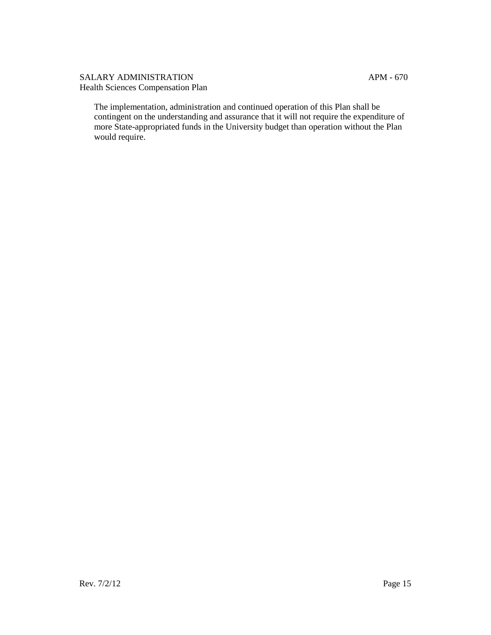The implementation, administration and continued operation of this Plan shall be contingent on the understanding and assurance that it will not require the expenditure of more State-appropriated funds in the University budget than operation without the Plan would require.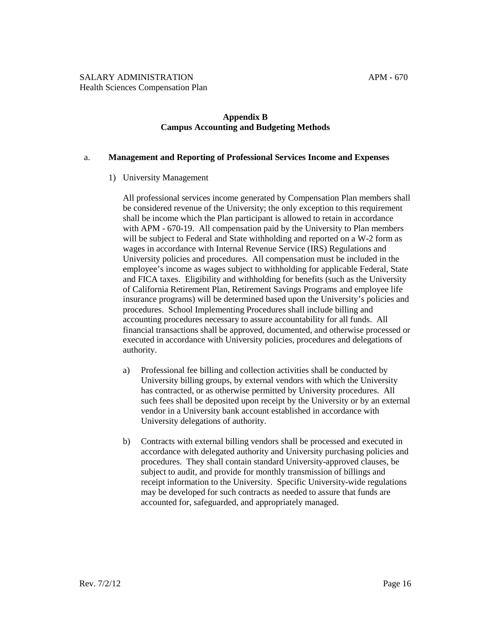## **Appendix B Campus Accounting and Budgeting Methods**

#### a. **Management and Reporting of Professional Services Income and Expenses**

## 1) University Management

All professional services income generated by Compensation Plan members shall be considered revenue of the University; the only exception to this requirement shall be income which the Plan participant is allowed to retain in accordance with APM - 670-19. All compensation paid by the University to Plan members will be subject to Federal and State withholding and reported on a W-2 form as wages in accordance with Internal Revenue Service (IRS) Regulations and University policies and procedures. All compensation must be included in the employee's income as wages subject to withholding for applicable Federal, State and FICA taxes. Eligibility and withholding for benefits (such as the University of California Retirement Plan, Retirement Savings Programs and employee life insurance programs) will be determined based upon the University's policies and procedures. School Implementing Procedures shall include billing and accounting procedures necessary to assure accountability for all funds. All financial transactions shall be approved, documented, and otherwise processed or executed in accordance with University policies, procedures and delegations of authority.

- a) Professional fee billing and collection activities shall be conducted by University billing groups, by external vendors with which the University has contracted, or as otherwise permitted by University procedures. All such fees shall be deposited upon receipt by the University or by an external vendor in a University bank account established in accordance with University delegations of authority.
- b) Contracts with external billing vendors shall be processed and executed in accordance with delegated authority and University purchasing policies and procedures. They shall contain standard University-approved clauses, be subject to audit, and provide for monthly transmission of billings and receipt information to the University. Specific University-wide regulations may be developed for such contracts as needed to assure that funds are accounted for, safeguarded, and appropriately managed.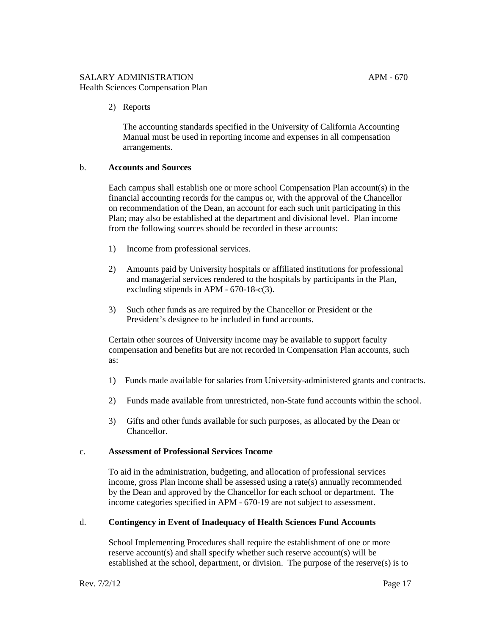2) Reports

The accounting standards specified in the University of California Accounting Manual must be used in reporting income and expenses in all compensation arrangements.

## b. **Accounts and Sources**

Each campus shall establish one or more school Compensation Plan account(s) in the financial accounting records for the campus or, with the approval of the Chancellor on recommendation of the Dean, an account for each such unit participating in this Plan; may also be established at the department and divisional level. Plan income from the following sources should be recorded in these accounts:

- 1) Income from professional services.
- 2) Amounts paid by University hospitals or affiliated institutions for professional and managerial services rendered to the hospitals by participants in the Plan, excluding stipends in APM - 670-18-c(3).
- 3) Such other funds as are required by the Chancellor or President or the President's designee to be included in fund accounts.

Certain other sources of University income may be available to support faculty compensation and benefits but are not recorded in Compensation Plan accounts, such as:

- 1) Funds made available for salaries from University-administered grants and contracts.
- 2) Funds made available from unrestricted, non-State fund accounts within the school.
- 3) Gifts and other funds available for such purposes, as allocated by the Dean or Chancellor.

#### c. **Assessment of Professional Services Income**

To aid in the administration, budgeting, and allocation of professional services income, gross Plan income shall be assessed using a rate(s) annually recommended by the Dean and approved by the Chancellor for each school or department. The income categories specified in APM - 670-19 are not subject to assessment.

## d. **Contingency in Event of Inadequacy of Health Sciences Fund Accounts**

School Implementing Procedures shall require the establishment of one or more reserve account(s) and shall specify whether such reserve account(s) will be established at the school, department, or division. The purpose of the reserve(s) is to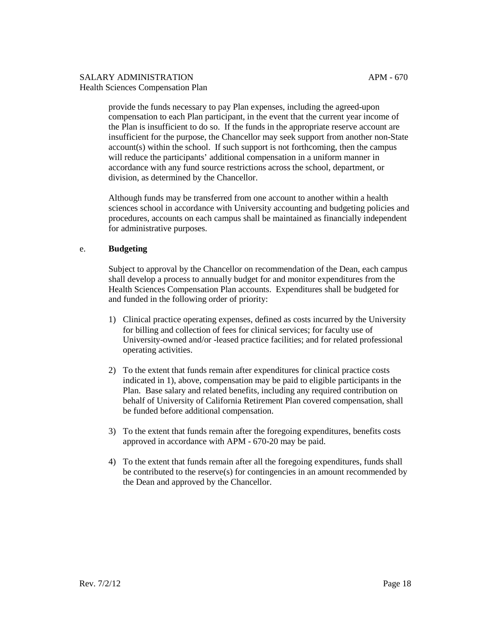provide the funds necessary to pay Plan expenses, including the agreed-upon compensation to each Plan participant, in the event that the current year income of the Plan is insufficient to do so. If the funds in the appropriate reserve account are insufficient for the purpose, the Chancellor may seek support from another non-State account(s) within the school. If such support is not forthcoming, then the campus will reduce the participants' additional compensation in a uniform manner in accordance with any fund source restrictions across the school, department, or division, as determined by the Chancellor.

Although funds may be transferred from one account to another within a health sciences school in accordance with University accounting and budgeting policies and procedures, accounts on each campus shall be maintained as financially independent for administrative purposes.

## e. **Budgeting**

Subject to approval by the Chancellor on recommendation of the Dean, each campus shall develop a process to annually budget for and monitor expenditures from the Health Sciences Compensation Plan accounts. Expenditures shall be budgeted for and funded in the following order of priority:

- 1) Clinical practice operating expenses, defined as costs incurred by the University for billing and collection of fees for clinical services; for faculty use of University-owned and/or -leased practice facilities; and for related professional operating activities.
- 2) To the extent that funds remain after expenditures for clinical practice costs indicated in 1), above, compensation may be paid to eligible participants in the Plan. Base salary and related benefits, including any required contribution on behalf of University of California Retirement Plan covered compensation, shall be funded before additional compensation.
- 3) To the extent that funds remain after the foregoing expenditures, benefits costs approved in accordance with APM - 670-20 may be paid.
- 4) To the extent that funds remain after all the foregoing expenditures, funds shall be contributed to the reserve(s) for contingencies in an amount recommended by the Dean and approved by the Chancellor.